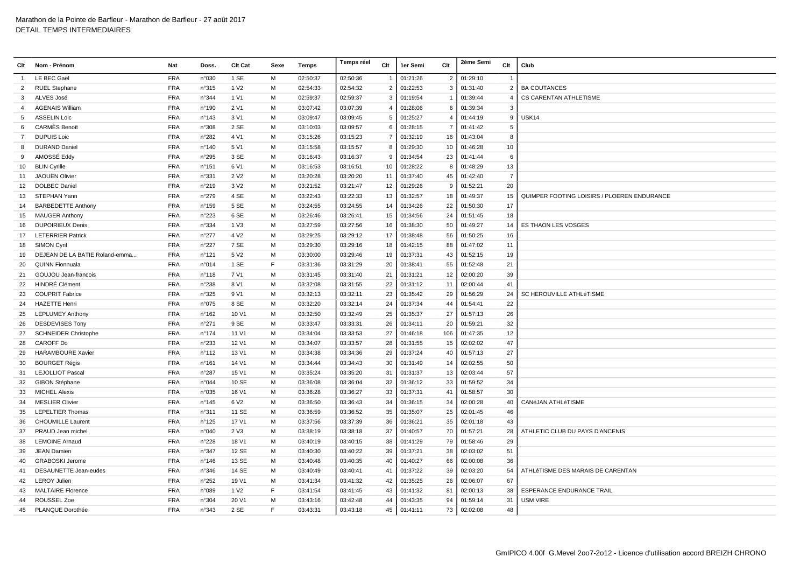| Clt            | Nom - Prénom                   | <b>Nat</b> | Doss.           | Clt Cat          | Sexe | Temps    | Temps réel | Clt            | 1er Semi    | Clt            | 2ème Semi   | Clt            | Club                                        |
|----------------|--------------------------------|------------|-----------------|------------------|------|----------|------------|----------------|-------------|----------------|-------------|----------------|---------------------------------------------|
| $\overline{1}$ | LE BEC Gaël                    | <b>FRA</b> | n°030           | 1 SE             | M    | 02:50:37 | 02:50:36   | $\overline{1}$ | 01:21:26    | $\overline{2}$ | 01:29:10    | $\overline{1}$ |                                             |
| 2              | <b>RUEL Stephane</b>           | <b>FRA</b> | n°315           | 1 V <sub>2</sub> | M    | 02:54:33 | 02:54:32   | $\overline{2}$ | 01:22:53    | 3              | 01:31:40    | $\overline{2}$ | <b>BA COUTANCES</b>                         |
| 3              | ALVES José                     | <b>FRA</b> | n°344           | 1 V1             | M    | 02:59:37 | 02:59:37   | 3              | 01:19:54    |                | 01:39:44    | $\overline{4}$ | <b>CS CARENTAN ATHLETISME</b>               |
| 4              | <b>AGENAIS William</b>         | <b>FRA</b> | n°190           | 2 V1             | м    | 03:07:42 | 03:07:39   | 4              | 01:28:06    | 6              | 01:39:34    | 3              |                                             |
| 5              | <b>ASSELIN Loic</b>            | <b>FRA</b> | n°143           | 3 V1             | м    | 03:09:47 | 03:09:45   | 5              | 01:25:27    | $\overline{4}$ | 01:44:19    | 9              | USK14                                       |
| 6              | <b>CARMÉS</b> Benoît           | <b>FRA</b> | n°308           | 2 SE             | M    | 03:10:03 | 03:09:57   | 6              | 01:28:15    | 7              | 01:41:42    | 5              |                                             |
| $\overline{7}$ | <b>DUPUIS Loic</b>             | <b>FRA</b> | n°282           | 4 V1             | M    | 03:15:26 | 03:15:23   | $\overline{7}$ | 01:32:19    | 16             | 01:43:04    | 8              |                                             |
| 8              | <b>DURAND Daniel</b>           | <b>FRA</b> | n°140           | 5 V1             | M    | 03:15:58 | 03:15:57   | 8              | 01:29:30    | 10             | 01:46:28    | 10             |                                             |
| 9              | AMOSSÉ Eddy                    | <b>FRA</b> | n°295           | 3 SE             | M    | 03:16:43 | 03:16:37   | 9              | 01:34:54    | 23             | 01:41:44    | 6              |                                             |
| 10             | <b>BLIN Cyrille</b>            | <b>FRA</b> | n°151           | 6 V1             | M    | 03:16:53 | 03:16:51   | 10             | 01:28:22    | 8              | 01:48:29    | 13             |                                             |
| 11             | JAOUËN Olivier                 | <b>FRA</b> | n°331           | 2 V <sub>2</sub> | M    | 03:20:28 | 03:20:20   | 11             | 01:37:40    | 45             | 01:42:40    | $\overline{7}$ |                                             |
| 12             | <b>DOLBEC Daniel</b>           | <b>FRA</b> | n°219           | 3 V <sub>2</sub> | M    | 03:21:52 | 03:21:47   | 12             | 01:29:26    | 9              | 01:52:21    | 20             |                                             |
| 13             | STEPHAN Yann                   | <b>FRA</b> | n°279           | 4 SE             | M    | 03:22:43 | 03:22:33   | 13             | 01:32:57    | 18             | 01:49:37    | 15             | QUIMPER FOOTING LOISIRS / PLOEREN ENDURANCE |
| 14             | <b>BARBEDETTE Anthony</b>      | <b>FRA</b> | n°159           | 5 SE             | M    | 03:24:55 | 03:24:55   | 14             | 01:34:26    | 22             | 01:50:30    | 17             |                                             |
| 15             | <b>MAUGER Anthony</b>          | <b>FRA</b> | n°223           | 6 SE             | M    | 03:26:46 | 03:26:41   | 15             | 01:34:56    | 24             | 01:51:45    | 18             |                                             |
| 16             | <b>DUPOIRIEUX Denis</b>        | <b>FRA</b> | n°334           | 1 V3             | м    | 03:27:59 | 03:27:56   | 16             | 01:38:30    | 50             | 01:49:27    | 14             | ES THAON LES VOSGES                         |
| 17             | <b>LETERRIER Patrick</b>       | <b>FRA</b> | n°277           | 4 V <sub>2</sub> | M    | 03:29:25 | 03:29:12   | 17             | 01:38:48    | 56             | 01:50:25    | 16             |                                             |
| 18             | SIMON Cyril                    | <b>FRA</b> | n°227           | 7 SE             | M    | 03:29:30 | 03:29:16   | 18             | 01:42:15    | 88             | 01:47:02    | 11             |                                             |
| 19             | DEJEAN DE LA BATIE Roland-emma | <b>FRA</b> | n°121           | 5 V <sub>2</sub> | M    | 03:30:00 | 03:29:46   | 19             | 01:37:31    | 43             | 01:52:15    | 19             |                                             |
| 20             | <b>QUINN Fionnuala</b>         | <b>FRA</b> | n°014           | 1 SE             | E    | 03:31:36 | 03:31:29   | 20             | 01:38:41    | 55             | 01:52:48    | 21             |                                             |
| 21             | GOUJOU Jean-francois           | <b>FRA</b> | $n^{\circ}$ 118 | 7 V1             | M    | 03:31:45 | 03:31:40   | 21             | 01:31:21    | 12             | 02:00:20    | 39             |                                             |
| 22             | <b>HINDRÉ Clément</b>          | <b>FRA</b> | n°238           | 8 V1             | M    | 03:32:08 | 03:31:55   | 22             | 01:31:12    | 11             | 02:00:44    | 41             |                                             |
| 23             | <b>COUPRIT Fabrice</b>         | <b>FRA</b> | n°325           | 9 V1             | M    | 03:32:13 | 03:32:11   | 23             | 01:35:42    | 29             | 01:56:29    | 24             | <b>SC HEROUVILLE ATHLéTISME</b>             |
| 24             | <b>HAZETTE Henri</b>           | <b>FRA</b> | n°075           | 8 SE             | M    | 03:32:20 | 03:32:14   | 24             | 01:37:34    | 44             | 01:54:41    | 22             |                                             |
| 25             | <b>LEPLUMEY Anthony</b>        | <b>FRA</b> | n°162           | 10 V1            | M    | 03:32:50 | 03:32:49   | 25             | 01:35:37    | 27             | 01:57:13    | 26             |                                             |
| 26             | <b>DESDEVISES Tony</b>         | <b>FRA</b> | n°271           | 9 SE             | M    | 03:33:47 | 03:33:31   | 26             | 01:34:11    | 20             | 01:59:21    | 32             |                                             |
| 27             | <b>SCHNEIDER Christophe</b>    | <b>FRA</b> | $n^{\circ}$ 174 | 11 V1            | м    | 03:34:04 | 03:33:53   | 27             | 01:46:18    | 106            | 01:47:35    | 12             |                                             |
| 28             | CAROFF Do                      | <b>FRA</b> | n°233           | 12 V1            | м    | 03:34:07 | 03:33:57   | 28             | 01:31:55    | 15             | 02:02:02    | 47             |                                             |
| 29             | <b>HARAMBOURE Xavier</b>       | <b>FRA</b> | $n^{\circ}$ 112 | 13 V1            | M    | 03:34:38 | 03:34:36   | 29             | 01:37:24    | 40             | 01:57:13    | 27             |                                             |
| 30             | <b>BOURGET Régis</b>           | <b>FRA</b> | $n^{\circ}161$  | 14 V1            | M    | 03:34:44 | 03:34:43   | 30             | 01:31:49    | 14             | 02:02:55    | 50             |                                             |
| 31             | <b>LEJOLLIOT Pascal</b>        | <b>FRA</b> | n°287           | 15 V1            | M    | 03:35:24 | 03:35:20   | 31             | 01:31:37    | 13             | 02:03:44    | 57             |                                             |
| 32             | GIBON Stéphane                 | <b>FRA</b> | n°044           | 10 SE            | M    | 03:36:08 | 03:36:04   | 32             | 01:36:12    | 33             | 01:59:52    | 34             |                                             |
| 33             | <b>MICHEL Alexis</b>           | <b>FRA</b> | n°035           | 16 V1            | м    | 03:36:28 | 03:36:27   | 33             | 01:37:31    | 41             | 01:58:57    | 30             |                                             |
| 34             | <b>MESLIER Olivier</b>         | <b>FRA</b> | n°145           | 6 V <sub>2</sub> | м    | 03:36:50 | 03:36:43   | 34             | 01:36:15    | 34             | 02:00:28    | 40             | CANéJAN ATHLéTISME                          |
| 35             | <b>LEPELTIER Thomas</b>        | <b>FRA</b> | n°311           | 11 SE            | M    | 03:36:59 | 03:36:52   | 35             | 01:35:07    | 25             | 02:01:45    | 46             |                                             |
| 36             | <b>CHOUMILLE Laurent</b>       | <b>FRA</b> | $n^{\circ}$ 125 | 17 V1            | M    | 03:37:56 | 03:37:39   | 36             | 01:36:21    | 35             | 02:01:18    | 43             |                                             |
| 37             | PRAUD Jean michel              | <b>FRA</b> | n°040           | 2 V3             | M    | 03:38:19 | 03:38:18   | 37             | 01:40:57    | 70             | 01:57:21    | 28             | ATHLETIC CLUB DU PAYS D'ANCENIS             |
| 38             | <b>LEMOINE Arnaud</b>          | <b>FRA</b> | n°228           | 18 V1            | M    | 03:40:19 | 03:40:15   | 38             | 01:41:29    | 79             | 01:58:46    | 29             |                                             |
| 39             | <b>JEAN Damien</b>             | <b>FRA</b> | n°347           | 12 SE            | M    | 03:40:30 | 03:40:22   | 39             | 01:37:21    | 38             | 02:03:02    | 51             |                                             |
| 40             | <b>GRABOSKI Jerome</b>         | <b>FRA</b> | n°146           | 13 SE            | M    | 03:40:48 | 03:40:35   | 40             | 01:40:27    | 66             | 02:00:08    | 36             |                                             |
| 41             | DESAUNETTE Jean-eudes          | <b>FRA</b> | n°346           | 14 SE            | M    | 03:40:49 | 03:40:41   | 41             | 01:37:22    | 39             | 02:03:20    | 54             | ATHLéTISME DES MARAIS DE CARENTAN           |
| 42             | <b>LEROY Julien</b>            | <b>FRA</b> | n°252           | 19 V1            | M    | 03:41:34 | 03:41:32   | 42             | 01:35:25    | 26             | 02:06:07    | 67             |                                             |
| 43             | <b>MALTAIRE Florence</b>       | <b>FRA</b> | n°089           | 1 V <sub>2</sub> | F    | 03:41:54 | 03:41:45   | 43             | 01:41:32    | 81             | 02:00:13    | 38             | ESPERANCE ENDURANCE TRAIL                   |
| 44             | ROUSSEL Zoe                    | <b>FRA</b> | n°304           | 20 V1            | M    | 03:43:16 | 03:42:48   | 44             | 01:43:35    | 94             | 01:59:14    | 31             | <b>USM VIRE</b>                             |
| 45             | PLANQUE Dorothée               | <b>FRA</b> | n°343           | 2 SE             | E    | 03:43:31 | 03:43:18   |                | 45 01:41:11 |                | 73 02:02:08 | 48             |                                             |
|                |                                |            |                 |                  |      |          |            |                |             |                |             |                |                                             |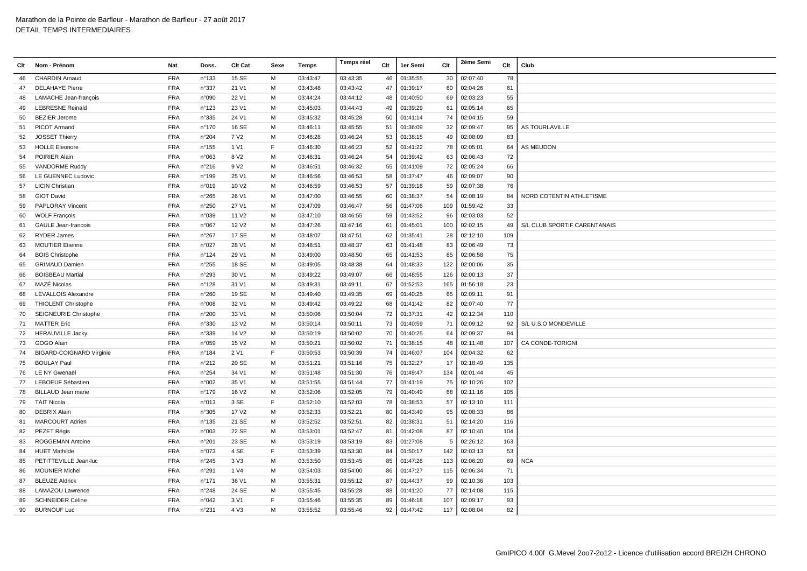| Clt | Nom - Prénom                    | Nat        | Doss.           | Clt Cat           | Sexe | Temps    | Temps réel | Clt | 1er Semi | Clt | 2ème Semi | Clt | Club                            |
|-----|---------------------------------|------------|-----------------|-------------------|------|----------|------------|-----|----------|-----|-----------|-----|---------------------------------|
| 46  | <b>CHARDIN Arnaud</b>           | <b>FRA</b> | n°133           | 15 SE             | M    | 03:43:47 | 03:43:35   | 46  | 01:35:55 | 30  | 02:07:40  | 78  |                                 |
| 47  | <b>DELAHAYE Pierre</b>          | <b>FRA</b> | n°337           | 21 V1             | M    | 03:43:48 | 03:43:42   | 47  | 01:39:17 | 60  | 02:04:26  | 61  |                                 |
| 48  | LAMACHE Jean-françois           | <b>FRA</b> | n°090           | 22 V1             | м    | 03:44:24 | 03:44:12   | 48  | 01:40:50 | 69  | 02:03:23  | 55  |                                 |
| 49  | <b>LEBRESNE Reinald</b>         | <b>FRA</b> | n°123           | 23 V1             | м    | 03:45:03 | 03:44:43   | 49  | 01:39:29 | 61  | 02:05:14  | 65  |                                 |
| 50  | <b>BEZIER Jerome</b>            | <b>FRA</b> | n°335           | 24 V1             | м    | 03:45:32 | 03:45:28   | 50  | 01:41:14 | 74  | 02:04:15  | 59  |                                 |
| 51  | <b>PICOT Armand</b>             | <b>FRA</b> | n°170           | 16 SE             | M    | 03:46:11 | 03:45:55   | 51  | 01:36:09 | 32  | 02:09:47  | 95  | <b>AS TOURLAVILLE</b>           |
| 52  | <b>JOSSET Thierry</b>           | <b>FRA</b> | n°204           | 7 V <sub>2</sub>  | M    | 03:46:28 | 03:46:24   | 53  | 01:38:15 | 49  | 02:08:09  | 83  |                                 |
| 53  | <b>HOLLE Eleonore</b>           | <b>FRA</b> | $n^{\circ}155$  | 1 V1              | E    | 03:46:30 | 03:46:23   | 52  | 01:41:22 | 78  | 02:05:01  | 64  | <b>AS MEUDON</b>                |
| 54  | <b>POIRIER Alain</b>            | <b>FRA</b> | n°063           | 8 V <sub>2</sub>  | м    | 03:46:31 | 03:46:24   | 54  | 01:39:42 | 63  | 02:06:43  | 72  |                                 |
| 55  | VANDORME Ruddy                  | <b>FRA</b> | n°216           | 9 V <sub>2</sub>  | м    | 03:46:51 | 03:46:32   | 55  | 01:41:09 | 72  | 02:05:24  | 66  |                                 |
| 56  | LE GUENNEC Ludovic              | <b>FRA</b> | $n^{\circ}$ 199 | 25 V1             | м    | 03:46:56 | 03:46:53   | 58  | 01:37:47 | 46  | 02:09:07  | 90  |                                 |
| 57  | <b>LICIN Christian</b>          | <b>FRA</b> | n°019           | 10 V <sub>2</sub> | м    | 03:46:59 | 03:46:53   | 57  | 01:39:16 | 59  | 02:07:38  | 76  |                                 |
| 58  | <b>GIOT David</b>               | <b>FRA</b> | n°265           | 26 V1             | M    | 03:47:00 | 03:46:55   | 60  | 01:38:37 | 54  | 02:08:19  | 84  | <b>NORD COTENTIN ATHLETISME</b> |
| 59  | <b>PAPLORAY Vincent</b>         | <b>FRA</b> | n°250           | 27 V1             | м    | 03:47:09 | 03:46:47   | 56  | 01:47:06 | 109 | 01:59:42  | 33  |                                 |
| 60  | <b>WOLF Francois</b>            | <b>FRA</b> | n°039           | 11 V <sub>2</sub> | м    | 03:47:10 | 03:46:55   | 59  | 01:43:52 | 96  | 02:03:03  | 52  |                                 |
| 61  | <b>GAULE Jean-francois</b>      | <b>FRA</b> | n°067           | 12 V <sub>2</sub> | M    | 03:47:26 | 03:47:16   | 61  | 01:45:01 | 100 | 02:02:15  | 49  | S/L CLUB SPORTIF CARENTANAIS    |
| 62  | <b>RYDER James</b>              | <b>FRA</b> | n°267           | 17 SE             | м    | 03:48:07 | 03:47:51   | 62  | 01:35:41 | 28  | 02:12:10  | 109 |                                 |
| 63  | <b>MOUTIER Etienne</b>          | <b>FRA</b> | n°027           | 28 V1             | м    | 03:48:51 | 03:48:37   | 63  | 01:41:48 | 83  | 02:06:49  | 73  |                                 |
| 64  | <b>BOIS Christophe</b>          | <b>FRA</b> | n°124           | 29 V1             | M    | 03:49:00 | 03:48:50   | 65  | 01:41:53 | 85  | 02:06:58  | 75  |                                 |
| 65  | <b>GRIMAUD Damien</b>           | <b>FRA</b> | n°255           | 18 SE             | м    | 03:49:05 | 03:48:38   | 64  | 01:48:33 | 122 | 02:00:06  | 35  |                                 |
| 66  | <b>BOISBEAU Martial</b>         | <b>FRA</b> | n°293           | 30 V1             | M    | 03:49:22 | 03:49:07   | 66  | 01:48:55 | 126 | 02:00:13  | 37  |                                 |
| 67  | MAZÉ Nicolas                    | <b>FRA</b> | n°128           | 31 V1             | м    | 03:49:31 | 03:49:11   | 67  | 01:52:53 | 165 | 01:56:18  | 23  |                                 |
| 68  | LEVALLOIS Alexandre             | <b>FRA</b> | n°260           | 19 SE             | м    | 03:49:40 | 03:49:35   | 69  | 01:40:25 | 65  | 02:09:11  | 91  |                                 |
| 69  | <b>THIOLENT Christophe</b>      | <b>FRA</b> | n°008           | 32 V1             | м    | 03:49:42 | 03:49:22   | 68  | 01:41:42 | 82  | 02:07:40  | 77  |                                 |
| 70  | SEIGNEURIE Christophe           | FRA        | n°200           | 33 V1             | м    | 03:50:06 | 03:50:04   | 72  | 01:37:31 | 42  | 02:12:34  | 110 |                                 |
| 71  | <b>MATTER Eric</b>              | <b>FRA</b> | n°330           | 13 V <sub>2</sub> | M    | 03:50:14 | 03:50:11   | 73  | 01:40:59 | 71  | 02:09:12  | 92  | S/L U.S.O MONDEVILLE            |
| 72  | <b>HERAUVILLE Jacky</b>         | <b>FRA</b> | n°339           | 14 V <sub>2</sub> | M    | 03:50:19 | 03:50:02   | 70  | 01:40:25 | 64  | 02:09:37  | 94  |                                 |
| 73  | GOGO Alain                      | <b>FRA</b> | n°059           | 15 V <sub>2</sub> | м    | 03:50:21 | 03:50:02   | 71  | 01:38:15 | 48  | 02:11:48  | 107 | CA CONDE-TORIGNI                |
| 74  | <b>BIGARD-COIGNARD Virginie</b> | <b>FRA</b> | n°184           | 2 V1              | F    | 03:50:53 | 03:50:39   | 74  | 01:46:07 | 104 | 02:04:32  | 62  |                                 |
| 75  | <b>BOULAY Paul</b>              | <b>FRA</b> | n°212           | 20 SE             | м    | 03:51:21 | 03:51:16   | 75  | 01:32:27 | 17  | 02:18:49  | 135 |                                 |
| 76  | LE NY Gwenaël                   | <b>FRA</b> | $n^{\circ}254$  | 34 V1             | м    | 03:51:48 | 03:51:30   | 76  | 01:49:47 | 134 | 02:01:44  | 45  |                                 |
| 77  | LEBOEUF Sébastien               | <b>FRA</b> | n°002           | 35 V1             | M    | 03:51:55 | 03:51:44   | 77  | 01:41:19 | 75  | 02:10:26  | 102 |                                 |
| 78  | BILLAUD Jean marie              | <b>FRA</b> | $n^{\circ}$ 179 | 16 V <sub>2</sub> | M    | 03:52:06 | 03:52:05   | 79  | 01:40:49 | 68  | 02:11:16  | 105 |                                 |
| 79  | <b>TAIT Nicola</b>              | <b>FRA</b> | n°013           | 3 SE              | E    | 03:52:10 | 03:52:03   | 78  | 01:38:53 | 57  | 02:13:10  | 111 |                                 |
| 80  | <b>DEBRIX Alain</b>             | <b>FRA</b> | n°305           | 17 V <sub>2</sub> | M    | 03:52:33 | 03:52:21   | 80  | 01:43:49 | 95  | 02:08:33  | 86  |                                 |
| 81  | <b>MARCOURT Adrien</b>          | <b>FRA</b> | $n^{\circ}$ 135 | 21 SE             | м    | 03:52:52 | 03:52:51   | 82  | 01:38:31 | 51  | 02:14:20  | 116 |                                 |
| 82  | PEZET Régis                     | <b>FRA</b> | n°003           | 22 SE             | м    | 03:53:01 | 03:52:47   | 81  | 01:42:08 | 87  | 02:10:40  | 104 |                                 |
| 83  | ROGGEMAN Antoine                | <b>FRA</b> | n°201           | 23 SE             | м    | 03:53:19 | 03:53:19   | 83  | 01:27:08 | -5  | 02:26:12  | 163 |                                 |
| 84  | <b>HUET Mathilde</b>            | <b>FRA</b> | n°073           | 4 SE              | E    | 03:53:39 | 03:53:30   | 84  | 01:50:17 | 142 | 02:03:13  | 53  |                                 |
| 85  | PETITTEVILLE Jean-luc           | <b>FRA</b> | n°245           | 3 <sub>V</sub> 3  | M    | 03:53:50 | 03:53:45   | 85  | 01:47:26 | 113 | 02:06:20  | 69  | <b>NCA</b>                      |
| 86  | <b>MOUNIER Michel</b>           | <b>FRA</b> | n°291           | 1 V4              | м    | 03:54:03 | 03:54:00   | 86  | 01:47:27 | 115 | 02:06:34  | 71  |                                 |
| 87  | <b>BLEUZE Aldrick</b>           | <b>FRA</b> | $n^{\circ}$ 171 | 36 V1             | м    | 03:55:31 | 03:55:12   | 87  | 01:44:37 | 99  | 02:10:36  | 103 |                                 |
| 88  | LAMAZOU Lawrence                | <b>FRA</b> | $n^{\circ}248$  | 24 SE             | м    | 03:55:45 | 03:55:28   | 88  | 01:41:20 | 77  | 02:14:08  | 115 |                                 |
| 89  | <b>SCHNEIDER Céline</b>         | <b>FRA</b> | n°042           | 3 V1              | E    | 03:55:46 | 03:55:35   | 89  | 01:46:18 | 107 | 02:09:17  | 93  |                                 |
| 90  | <b>BURNOUF Luc</b>              | <b>FRA</b> | n°231           | 4 V3              | M    | 03:55:52 | 03:55:46   | 92  | 01:47:42 | 117 | 02:08:04  | 82  |                                 |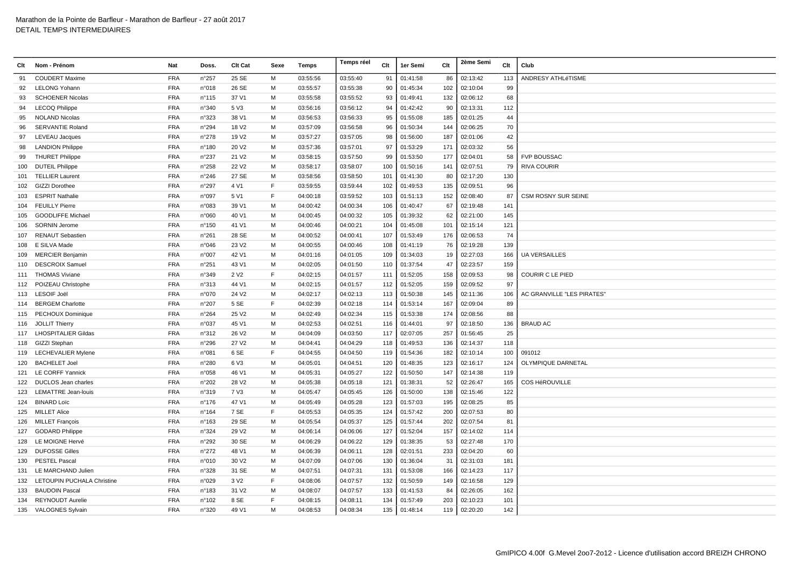| Clt | Nom - Prénom               | Nat        | Doss.           | Clt Cat           | Sexe | Temps    | Temps réel | Clt | 1er Semi | Clt | 2ème Semi | Clt | Club                       |
|-----|----------------------------|------------|-----------------|-------------------|------|----------|------------|-----|----------|-----|-----------|-----|----------------------------|
| 91  | <b>COUDERT Maxime</b>      | <b>FRA</b> | n°257           | 25 SE             | M    | 03:55:56 | 03:55:40   | 91  | 01:41:58 | 86  | 02:13:42  | 113 | ANDRESY ATHLéTISME         |
| 92  | <b>LELONG Yohann</b>       | <b>FRA</b> | n°018           | 26 SE             | M    | 03:55:57 | 03:55:38   | 90  | 01:45:34 | 102 | 02:10:04  | 99  |                            |
| 93  | <b>SCHOENER Nicolas</b>    | <b>FRA</b> | $n^{\circ}$ 115 | 37 V1             | м    | 03:55:58 | 03:55:52   | 93  | 01:49:41 | 132 | 02:06:12  | 68  |                            |
| 94  | <b>LECOQ Philippe</b>      | <b>FRA</b> | n°340           | 5 V3              | м    | 03:56:16 | 03:56:12   | 94  | 01:42:42 | 90  | 02:13:31  | 112 |                            |
| 95  | <b>NOLAND Nicolas</b>      | <b>FRA</b> | n°323           | 38 V1             | м    | 03:56:53 | 03:56:33   | 95  | 01:55:08 | 185 | 02:01:25  | 44  |                            |
| 96  | <b>SERVANTIE Roland</b>    | <b>FRA</b> | n°294           | 18 V <sub>2</sub> | M    | 03:57:09 | 03:56:58   | 96  | 01:50:34 | 144 | 02:06:25  | 70  |                            |
| 97  | <b>LEVEAU Jacques</b>      | <b>FRA</b> | n°278           | 19 V <sub>2</sub> | M    | 03:57:27 | 03:57:05   | 98  | 01:56:00 | 187 | 02:01:06  | 42  |                            |
| 98  | <b>LANDION Philippe</b>    | <b>FRA</b> | n°180           | 20 V <sub>2</sub> | м    | 03:57:36 | 03:57:01   | 97  | 01:53:29 | 171 | 02:03:32  | 56  |                            |
| 99  | <b>THURET Philippe</b>     | <b>FRA</b> | n°237           | 21 V <sub>2</sub> | м    | 03:58:15 | 03:57:50   | 99  | 01:53:50 | 177 | 02:04:01  | 58  | <b>FVP BOUSSAC</b>         |
| 100 | <b>DUTEIL Philippe</b>     | <b>FRA</b> | n°258           | 22 V <sub>2</sub> | м    | 03:58:17 | 03:58:07   | 100 | 01:50:16 | 141 | 02:07:51  | 79  | <b>RIVA COURIR</b>         |
| 101 | <b>TELLIER Laurent</b>     | <b>FRA</b> | $n^{\circ}246$  | 27 SE             | м    | 03:58:56 | 03:58:50   | 101 | 01:41:30 | 80  | 02:17:20  | 130 |                            |
| 102 | GIZZI Dorothee             | <b>FRA</b> | n°297           | 4 V1              | E    | 03:59:55 | 03:59:44   | 102 | 01:49:53 | 135 | 02:09:51  | 96  |                            |
| 103 | <b>ESPRIT Nathalie</b>     | <b>FRA</b> | n°097           | 5 V1              | E    | 04:00:18 | 03:59:52   | 103 | 01:51:13 | 152 | 02:08:40  | 87  | <b>CSM ROSNY SUR SEINE</b> |
| 104 | <b>FEUILLY Pierre</b>      | <b>FRA</b> | n°083           | 39 V1             | м    | 04:00:42 | 04:00:34   | 106 | 01:40:47 | 67  | 02:19:48  | 141 |                            |
| 105 | <b>GOODLIFFE Michael</b>   | <b>FRA</b> | n°060           | 40 V1             | м    | 04:00:45 | 04:00:32   | 105 | 01:39:32 | 62  | 02:21:00  | 145 |                            |
| 106 | <b>SORNIN Jerome</b>       | <b>FRA</b> | n°150           | 41 V1             | M    | 04:00:46 | 04:00:21   | 104 | 01:45:08 | 101 | 02:15:14  | 121 |                            |
| 107 | <b>RENAUT Sebastien</b>    | <b>FRA</b> | n°261           | 28 SE             | м    | 04:00:52 | 04:00:41   | 107 | 01:53:49 | 176 | 02:06:53  | 74  |                            |
| 108 | E SILVA Made               | <b>FRA</b> | n°046           | 23 V <sub>2</sub> | м    | 04:00:55 | 04:00:46   | 108 | 01:41:19 | 76  | 02:19:28  | 139 |                            |
| 109 | <b>MERCIER Benjamin</b>    | <b>FRA</b> | n°007           | 42 V1             | M    | 04:01:16 | 04:01:05   | 109 | 01:34:03 | 19  | 02:27:03  | 166 | <b>UA VERSAILLES</b>       |
| 110 | <b>DESCROIX Samuel</b>     | <b>FRA</b> | n°251           | 43 V1             | м    | 04:02:05 | 04:01:50   | 110 | 01:37:54 | 47  | 02:23:57  | 159 |                            |
|     | 111 THOMAS Viviane         | <b>FRA</b> | n°349           | 2 V <sub>2</sub>  | E    | 04:02:15 | 04:01:57   | 111 | 01:52:05 | 158 | 02:09:53  | 98  | <b>COURIR C LE PIED</b>    |
|     | 112 POIZEAU Christophe     | <b>FRA</b> | n°313           | 44 V1             | м    | 04:02:15 | 04:01:57   | 112 | 01:52:05 | 159 | 02:09:52  | 97  |                            |
| 113 | <b>LESOIF Joël</b>         | <b>FRA</b> | n°070           | 24 V <sub>2</sub> | м    | 04:02:17 | 04:02:13   | 113 | 01:50:38 | 145 | 02:11:36  | 106 | AC GRANVILLE "LES PIRATES" |
|     | 114 BERGEM Charlotte       | <b>FRA</b> | n°207           | 5 SE              | F    | 04:02:39 | 04:02:18   | 114 | 01:53:14 | 167 | 02:09:04  | 89  |                            |
| 115 | <b>PECHOUX Dominique</b>   | <b>FRA</b> | n°264           | 25 V2             | м    | 04:02:49 | 04:02:34   | 115 | 01:53:38 | 174 | 02:08:56  | 88  |                            |
|     | 116 JOLLIT Thierry         | <b>FRA</b> | n°037           | 45 V1             | M    | 04:02:53 | 04:02:51   | 116 | 01:44:01 | 97  | 02:18:50  | 136 | <b>BRAUD AC</b>            |
|     | 117 LHOSPITALIER Gildas    | <b>FRA</b> | n°312           | 26 V <sub>2</sub> | M    | 04:04:09 | 04:03:50   | 117 | 02:07:05 | 257 | 01:56:45  | 25  |                            |
| 118 | GIZZI Stephan              | <b>FRA</b> | n°296           | 27 V <sub>2</sub> | м    | 04:04:41 | 04:04:29   | 118 | 01:49:53 | 136 | 02:14:37  | 118 |                            |
| 119 | <b>LECHEVALIER Mylene</b>  | <b>FRA</b> | n°081           | 6 SE              | F    | 04:04:55 | 04:04:50   | 119 | 01:54:36 | 182 | 02:10:14  | 100 | 091012                     |
| 120 | <b>BACHELET Joel</b>       | <b>FRA</b> | n°280           | 6 V3              | м    | 04:05:01 | 04:04:51   | 120 | 01:48:35 | 123 | 02:16:17  | 124 | OLYMPIQUE DARNETAL         |
| 121 | <b>LE CORFF Yannick</b>    | <b>FRA</b> | n°058           | 46 V1             | м    | 04:05:31 | 04:05:27   | 122 | 01:50:50 | 147 | 02:14:38  | 119 |                            |
| 122 | DUCLOS Jean charles        | <b>FRA</b> | n°202           | 28 V <sub>2</sub> | м    | 04:05:38 | 04:05:18   | 121 | 01:38:31 | 52  | 02:26:47  | 165 | <b>COS HéROUVILLE</b>      |
|     | 123 LEMATTRE Jean-louis    | <b>FRA</b> | n°319           | 7 V3              | M    | 04:05:47 | 04:05:45   | 126 | 01:50:00 | 138 | 02:15:46  | 122 |                            |
| 124 | <b>BINARD Loïc</b>         | <b>FRA</b> | $n^{\circ}$ 176 | 47 V1             | M    | 04:05:49 | 04:05:28   | 123 | 01:57:03 | 195 | 02:08:25  | 85  |                            |
| 125 | <b>MILLET Alice</b>        | <b>FRA</b> | n°164           | 7 SE              | E    | 04:05:53 | 04:05:35   | 124 | 01:57:42 | 200 | 02:07:53  | 80  |                            |
| 126 | <b>MILLET François</b>     | <b>FRA</b> | $n^{\circ}163$  | 29 SE             | м    | 04:05:54 | 04:05:37   | 125 | 01:57:44 | 202 | 02:07:54  | 81  |                            |
| 127 | <b>GODARD Philippe</b>     | <b>FRA</b> | n°324           | 29 V <sub>2</sub> | м    | 04:06:14 | 04:06:06   | 127 | 01:52:04 | 157 | 02:14:02  | 114 |                            |
| 128 | LE MOIGNE Hervé            | <b>FRA</b> | $n^{\circ}292$  | 30 SE             | м    | 04:06:29 | 04:06:22   | 129 | 01:38:35 | 53  | 02:27:48  | 170 |                            |
| 129 | <b>DUFOSSE Gilles</b>      | <b>FRA</b> | $n^{\circ}272$  | 48 V1             | M    | 04:06:39 | 04:06:11   | 128 | 02:01:51 | 233 | 02:04:20  | 60  |                            |
| 130 | <b>PESTEL Pascal</b>       | <b>FRA</b> | n°010           | 30 V <sub>2</sub> | M    | 04:07:09 | 04:07:06   | 130 | 01:36:04 | 31  | 02:31:03  | 181 |                            |
| 131 | LE MARCHAND Julien         | <b>FRA</b> | n°328           | 31 SE             | м    | 04:07:51 | 04:07:31   | 131 | 01:53:08 | 166 | 02:14:23  | 117 |                            |
| 132 | LETOUPIN PUCHALA Christine | <b>FRA</b> | n°029           | 3 V <sub>2</sub>  | F    | 04:08:06 | 04:07:57   | 132 | 01:50:59 | 149 | 02:16:58  | 129 |                            |
| 133 | <b>BAUDOIN Pascal</b>      | <b>FRA</b> | n°183           | 31 V <sub>2</sub> | м    | 04:08:07 | 04:07:57   | 133 | 01:41:53 | 84  | 02:26:05  | 162 |                            |
| 134 | <b>REYNOUDT Aurelie</b>    | <b>FRA</b> | n°102           | 8 SE              | E    | 04:08:15 | 04:08:11   | 134 | 01:57:49 | 203 | 02:10:23  | 101 |                            |
|     | 135 VALOGNES Sylvain       | <b>FRA</b> | n°320           | 49 V1             | M    | 04:08:53 | 04:08:34   | 135 | 01:48:14 | 119 | 02:20:20  | 142 |                            |
|     |                            |            |                 |                   |      |          |            |     |          |     |           |     |                            |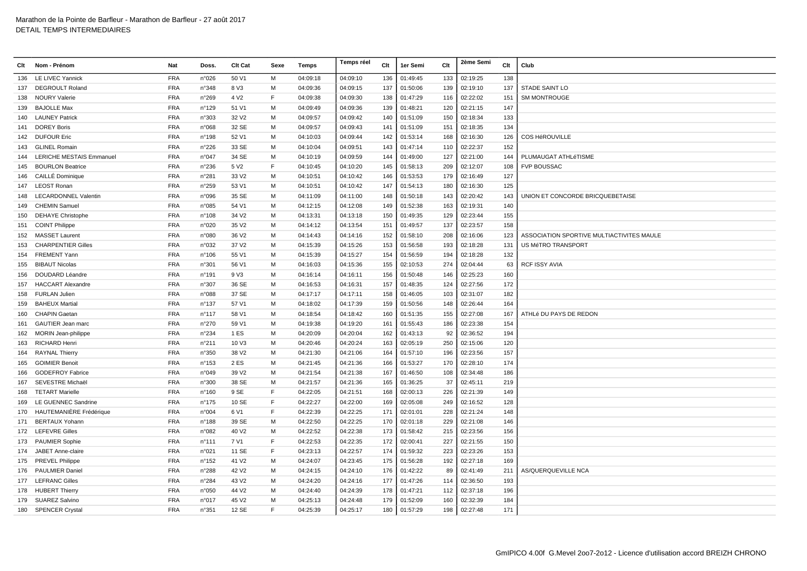| Clt | Nom - Prénom                    | Nat        | Doss.           | Clt Cat           | Sexe | Temps    | Temps réel | Clt | 1er Semi | Clt | 2ème Semi | Clt | Club                                      |
|-----|---------------------------------|------------|-----------------|-------------------|------|----------|------------|-----|----------|-----|-----------|-----|-------------------------------------------|
| 136 | <b>LE LIVEC Yannick</b>         | <b>FRA</b> | n°026           | 50 V1             | м    | 04:09:18 | 04:09:10   | 136 | 01:49:45 | 133 | 02:19:25  | 138 |                                           |
| 137 | <b>DEGROULT Roland</b>          | <b>FRA</b> | n°348           | 8 V3              | M    | 04:09:36 | 04:09:15   | 137 | 01:50:06 | 139 | 02:19:10  | 137 | <b>STADE SAINT LO</b>                     |
| 138 | <b>NOURY Valerie</b>            | <b>FRA</b> | n°269           | 4 V <sub>2</sub>  | F    | 04:09:38 | 04:09:30   | 138 | 01:47:29 | 116 | 02:22:02  | 151 | <b>SM MONTROUGE</b>                       |
| 139 | <b>BAJOLLE Max</b>              | <b>FRA</b> | n°129           | 51 V1             | M    | 04:09:49 | 04:09:36   | 139 | 01:48:21 | 120 | 02:21:15  | 147 |                                           |
| 140 | <b>LAUNEY Patrick</b>           | <b>FRA</b> | n°303           | 32 V <sub>2</sub> | M    | 04:09:57 | 04:09:42   | 140 | 01:51:09 | 150 | 02:18:34  | 133 |                                           |
| 141 | <b>DOREY Boris</b>              | <b>FRA</b> | n°068           | 32 SE             | м    | 04:09:57 | 04:09:43   | 141 | 01:51:09 | 151 | 02:18:35  | 134 |                                           |
| 142 | <b>DUFOUR Eric</b>              | <b>FRA</b> | n°198           | 52 V1             | м    | 04:10:03 | 04:09:44   | 142 | 01:53:14 | 168 | 02:16:30  | 126 | <b>COS HéROUVILLE</b>                     |
| 143 | <b>GLINEL Romain</b>            | <b>FRA</b> | n°226           | 33 SE             | м    | 04:10:04 | 04:09:51   | 143 | 01:47:14 | 110 | 02:22:37  | 152 |                                           |
| 144 | <b>LERICHE MESTAIS Emmanuel</b> | <b>FRA</b> | n°047           | 34 SE             | м    | 04:10:19 | 04:09:59   | 144 | 01:49:00 | 127 | 02:21:00  | 144 | PLUMAUGAT ATHLéTISME                      |
| 145 | <b>BOURLON Beatrice</b>         | <b>FRA</b> | n°236           | 5 V <sub>2</sub>  | F    | 04:10:45 | 04:10:20   | 145 | 01:58:13 | 209 | 02:12:07  | 108 | <b>FVP BOUSSAC</b>                        |
| 146 | <b>CAILLÉ Dominique</b>         | <b>FRA</b> | n°281           | 33 V <sub>2</sub> | м    | 04:10:51 | 04:10:42   | 146 | 01:53:53 | 179 | 02:16:49  | 127 |                                           |
| 147 | <b>LEOST Ronan</b>              | <b>FRA</b> | n°259           | 53 V1             | м    | 04:10:51 | 04:10:42   | 147 | 01:54:13 | 180 | 02:16:30  | 125 |                                           |
| 148 | <b>LECARDONNEL Valentin</b>     | <b>FRA</b> | n°096           | 35 SE             | м    | 04:11:09 | 04:11:00   | 148 | 01:50:18 | 143 | 02:20:42  | 143 | UNION ET CONCORDE BRICQUEBETAISE          |
| 149 | <b>CHEMIN Samuel</b>            | FRA        | n°085           | 54 V1             | м    | 04:12:15 | 04:12:08   | 149 | 01:52:38 | 163 | 02:19:31  | 140 |                                           |
| 150 | <b>DEHAYE Christophe</b>        | <b>FRA</b> | $n^{\circ}108$  | 34 V <sub>2</sub> | м    | 04:13:31 | 04:13:18   | 150 | 01:49:35 | 129 | 02:23:44  | 155 |                                           |
| 151 | <b>COINT Philippe</b>           | <b>FRA</b> | n°020           | 35 V2             | M    | 04:14:12 | 04:13:54   | 151 | 01:49:57 | 137 | 02:23:57  | 158 |                                           |
| 152 | <b>MASSET Laurent</b>           | <b>FRA</b> | n°080           | 36 V <sub>2</sub> | M    | 04:14:43 | 04:14:16   | 152 | 01:58:10 | 208 | 02:16:06  | 123 | ASSOCIATION SPORTIVE MULTIACTIVITES MAULE |
| 153 | <b>CHARPENTIER Gilles</b>       | <b>FRA</b> | n°032           | 37 V2             | M    | 04:15:39 | 04:15:26   | 153 | 01:56:58 | 193 | 02:18:28  | 131 | US MéTRO TRANSPORT                        |
| 154 | <b>FREMENT Yann</b>             | <b>FRA</b> | n°106           | 55 V1             | M    | 04:15:39 | 04:15:27   | 154 | 01:56:59 | 194 | 02:18:28  | 132 |                                           |
| 155 | <b>BIBAUT Nicolas</b>           | <b>FRA</b> | n°301           | 56 V1             | м    | 04:16:03 | 04:15:36   | 155 | 02:10:53 | 274 | 02:04:44  | 63  | <b>RCF ISSY AVIA</b>                      |
| 156 | DOUDARD Léandre                 | <b>FRA</b> | $n^{\circ}$ 191 | 9 V3              | м    | 04:16:14 | 04:16:11   | 156 | 01:50:48 | 146 | 02:25:23  | 160 |                                           |
| 157 | <b>HACCART Alexandre</b>        | <b>FRA</b> | n°307           | 36 SE             | M    | 04:16:53 | 04:16:31   | 157 | 01:48:35 | 124 | 02:27:56  | 172 |                                           |
| 158 | <b>FURLAN Julien</b>            | <b>FRA</b> | n°088           | 37 SE             | м    | 04:17:17 | 04:17:11   | 158 | 01:46:05 | 103 | 02:31:07  | 182 |                                           |
| 159 | <b>BAHEUX Martial</b>           | <b>FRA</b> | $n^{\circ}$ 137 | 57 V1             | м    | 04:18:02 | 04:17:39   | 159 | 01:50:56 | 148 | 02:26:44  | 164 |                                           |
| 160 | <b>CHAPIN Gaetan</b>            | <b>FRA</b> | $n^{\circ}$ 117 | 58 V1             | м    | 04:18:54 | 04:18:42   | 160 | 01:51:35 | 155 | 02:27:08  | 167 | ATHLé DU PAYS DE REDON                    |
| 161 | GAUTIER Jean marc               | <b>FRA</b> | $n^{\circ}270$  | 59 V1             | м    | 04:19:38 | 04:19:20   | 161 | 01:55:43 | 186 | 02:23:38  | 154 |                                           |
| 162 | <b>MORIN Jean-philippe</b>      | <b>FRA</b> | n°234           | 1 ES              | м    | 04:20:09 | 04:20:04   | 162 | 01:43:13 | 92  | 02:36:52  | 194 |                                           |
| 163 | <b>RICHARD Henri</b>            | <b>FRA</b> | $n^{\circ}211$  | 10 V <sub>3</sub> | M    | 04:20:46 | 04:20:24   | 163 | 02:05:19 | 250 | 02:15:06  | 120 |                                           |
| 164 | <b>RAYNAL Thierry</b>           | <b>FRA</b> | n°350           | 38 V <sub>2</sub> | M    | 04:21:30 | 04:21:06   | 164 | 01:57:10 | 196 | 02:23:56  | 157 |                                           |
| 165 | <b>GOIMIER Benoit</b>           | <b>FRA</b> | n°153           | 2 ES              | M    | 04:21:45 | 04:21:36   | 166 | 01:53:27 | 170 | 02:28:10  | 174 |                                           |
| 166 | <b>GODEFROY Fabrice</b>         | <b>FRA</b> | n°049           | 39 V <sub>2</sub> | м    | 04:21:54 | 04:21:38   | 167 | 01:46:50 | 108 | 02:34:48  | 186 |                                           |
| 167 | SEVESTRE Michaël                | <b>FRA</b> | n°300           | 38 SE             | м    | 04:21:57 | 04:21:36   | 165 | 01:36:25 | 37  | 02:45:11  | 219 |                                           |
| 168 | <b>TETART Marielle</b>          | <b>FRA</b> | n°160           | 9 SE              | F    | 04:22:05 | 04:21:51   | 168 | 02:00:13 | 226 | 02:21:39  | 149 |                                           |
| 169 | LE GUENNEC Sandrine             | <b>FRA</b> | $n^{\circ}$ 175 | 10 SE             | F    | 04:22:27 | 04:22:00   | 169 | 02:05:08 | 249 | 02:16:52  | 128 |                                           |
| 170 | HAUTEMANIÈRE Frédérique         | <b>FRA</b> | n°004           | 6 V1              | F    | 04:22:39 | 04:22:25   | 171 | 02:01:01 | 228 | 02:21:24  | 148 |                                           |
| 171 | <b>BERTAUX Yohann</b>           | <b>FRA</b> | n°188           | 39 SE             | м    | 04:22:50 | 04:22:25   | 170 | 02:01:18 | 229 | 02:21:08  | 146 |                                           |
|     | 172 LEFEVRE Gilles              | <b>FRA</b> | n°082           | 40 V <sub>2</sub> | м    | 04:22:52 | 04:22:38   | 173 | 01:58:42 | 215 | 02:23:56  | 156 |                                           |
|     | 173 PAUMIER Sophie              | <b>FRA</b> | $n^{\circ}$ 111 | 7 V1              | F    | 04:22:53 | 04:22:35   | 172 | 02:00:41 | 227 | 02:21:55  | 150 |                                           |
| 174 | JABET Anne-claire               | <b>FRA</b> | n°021           | 11 SE             | F    | 04:23:13 | 04:22:57   | 174 | 01:59:32 | 223 | 02:23:26  | 153 |                                           |
| 175 | <b>PREVEL Philippe</b>          | <b>FRA</b> | $n^{\circ}$ 152 | 41 V <sub>2</sub> | м    | 04:24:07 | 04:23:45   | 175 | 01:56:28 | 192 | 02:27:18  | 169 |                                           |
| 176 | <b>PAULMIER Daniel</b>          | <b>FRA</b> | $n^{\circ}288$  | 42 V <sub>2</sub> | м    | 04:24:15 | 04:24:10   | 176 | 01:42:22 | 89  | 02:41:49  | 211 | <b>AS/QUERQUEVILLE NCA</b>                |
| 177 | <b>LEFRANC Gilles</b>           | <b>FRA</b> | n°284           | 43 V2             | M    | 04:24:20 | 04:24:16   | 177 | 01:47:26 | 114 | 02:36:50  | 193 |                                           |
|     | 178 HUBERT Thierry              | <b>FRA</b> | n°050           | 44 V <sub>2</sub> | м    | 04:24:40 | 04:24:39   | 178 | 01:47:21 | 112 | 02:37:18  | 196 |                                           |
| 179 | <b>SUAREZ Salvino</b>           | <b>FRA</b> | n°017           | 45 V2             | M    | 04:25:13 | 04:24:48   | 179 | 01:52:09 | 160 | 02:32:39  | 184 |                                           |
|     | 180 SPENCER Crystal             | <b>FRA</b> | n°351           | 12 SE             | E    | 04:25:39 | 04:25:17   | 180 | 01:57:29 | 198 | 02:27:48  | 171 |                                           |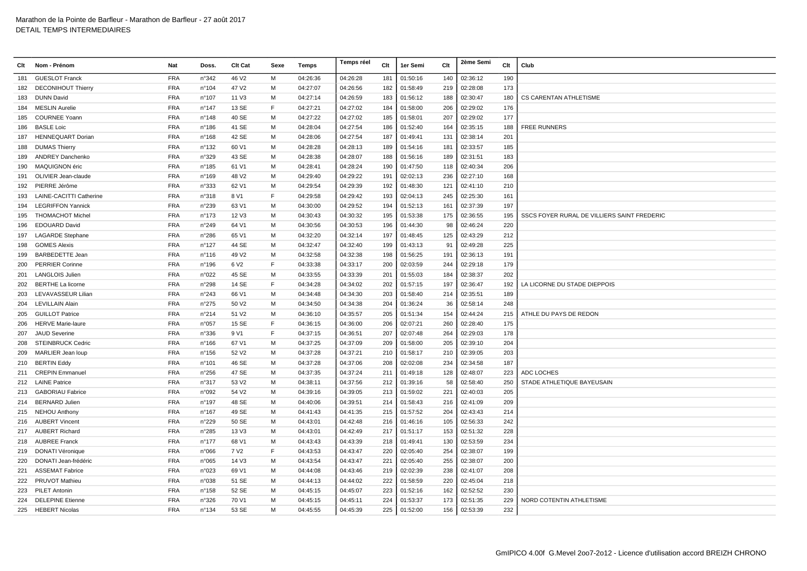| Clt | Nom - Prénom                   | Nat        | Doss.           | Clt Cat           | Sexe | Temps    | Temps réel | Clt | 1er Semi | Clt | 2ème Semi | Clt | Club                                        |
|-----|--------------------------------|------------|-----------------|-------------------|------|----------|------------|-----|----------|-----|-----------|-----|---------------------------------------------|
| 181 | <b>GUESLOT Franck</b>          | <b>FRA</b> | n°342           | 46 V2             | M    | 04:26:36 | 04:26:28   | 181 | 01:50:16 | 140 | 02:36:12  | 190 |                                             |
| 182 | <b>DECONIHOUT Thierry</b>      | <b>FRA</b> | n°104           | 47 V2             | M    | 04:27:07 | 04:26:56   | 182 | 01:58:49 | 219 | 02:28:08  | 173 |                                             |
| 183 | <b>DUNN David</b>              | <b>FRA</b> | n°107           | 11 V3             | M    | 04:27:14 | 04:26:59   | 183 | 01:56:12 | 188 | 02:30:47  | 180 | CS CARENTAN ATHLETISME                      |
| 184 | <b>MESLIN Aurelie</b>          | <b>FRA</b> | $n^{\circ}$ 147 | 13 SE             | F    | 04:27:21 | 04:27:02   | 184 | 01:58:00 | 206 | 02:29:02  | 176 |                                             |
| 185 | <b>COURNEE Yoann</b>           | <b>FRA</b> | $n^{\circ}$ 148 | 40 SE             | M    | 04:27:22 | 04:27:02   | 185 | 01:58:01 | 207 | 02:29:02  | 177 |                                             |
| 186 | <b>BASLE Loic</b>              | <b>FRA</b> | n°186           | 41 SE             | M    | 04:28:04 | 04:27:54   | 186 | 01:52:40 | 164 | 02:35:15  | 188 | <b>FREE RUNNERS</b>                         |
| 187 | <b>HENNEQUART Dorian</b>       | <b>FRA</b> | n°168           | 42 SE             | M    | 04:28:06 | 04:27:54   | 187 | 01:49:41 | 131 | 02:38:14  | 201 |                                             |
| 188 | <b>DUMAS Thierry</b>           | <b>FRA</b> | n°132           | 60 V1             | м    | 04:28:28 | 04:28:13   | 189 | 01:54:16 | 181 | 02:33:57  | 185 |                                             |
| 189 | <b>ANDREY Danchenko</b>        | <b>FRA</b> | n°329           | 43 SE             | м    | 04:28:38 | 04:28:07   | 188 | 01:56:16 | 189 | 02:31:51  | 183 |                                             |
| 190 | MAQUIGNON éric                 | <b>FRA</b> | n°185           | 61 V1             | м    | 04:28:41 | 04:28:24   | 190 | 01:47:50 | 118 | 02:40:34  | 206 |                                             |
| 191 | OLIVIER Jean-claude            | <b>FRA</b> | $n^{\circ}$ 169 | 48 V <sub>2</sub> | м    | 04:29:40 | 04:29:22   | 191 | 02:02:13 | 236 | 02:27:10  | 168 |                                             |
| 192 | PIERRE Jérôme                  | <b>FRA</b> | n°333           | 62 V1             | M    | 04:29:54 | 04:29:39   | 192 | 01:48:30 | 121 | 02:41:10  | 210 |                                             |
| 193 | <b>LAINE-CACITTI Catherine</b> | <b>FRA</b> | n°318           | 8 V1              | F    | 04:29:58 | 04:29:42   | 193 | 02:04:13 | 245 | 02:25:30  | 161 |                                             |
| 194 | <b>LEGRIFFON Yannick</b>       | <b>FRA</b> | n°239           | 63 V1             | м    | 04:30:00 | 04:29:52   | 194 | 01:52:13 | 161 | 02:37:39  | 197 |                                             |
| 195 | <b>THOMACHOT Michel</b>        | <b>FRA</b> | $n^{\circ}$ 173 | 12 V3             | м    | 04:30:43 | 04:30:32   | 195 | 01:53:38 | 175 | 02:36:55  | 195 | SSCS FOYER RURAL DE VILLIERS SAINT FREDERIC |
| 196 | <b>EDOUARD David</b>           | <b>FRA</b> | n°249           | 64 V1             | м    | 04:30:56 | 04:30:53   | 196 | 01:44:30 | 98  | 02:46:24  | 220 |                                             |
| 197 | <b>LAGARDE Stephane</b>        | <b>FRA</b> | n°286           | 65 V1             | м    | 04:32:20 | 04:32:14   | 197 | 01:48:45 | 125 | 02:43:29  | 212 |                                             |
| 198 | <b>GOMES Alexis</b>            | <b>FRA</b> | n°127           | 44 SE             | M    | 04:32:47 | 04:32:40   | 199 | 01:43:13 | 91  | 02:49:28  | 225 |                                             |
| 199 | <b>BARBEDETTE Jean</b>         | <b>FRA</b> | $n^{\circ}$ 116 | 49 V <sub>2</sub> | м    | 04:32:58 | 04:32:38   | 198 | 01:56:25 | 191 | 02:36:13  | 191 |                                             |
| 200 | <b>PERRIER Corinne</b>         | <b>FRA</b> | n°196           | 6 V <sub>2</sub>  | F    | 04:33:38 | 04:33:17   | 200 | 02:03:59 | 244 | 02:29:18  | 179 |                                             |
| 201 | <b>LANGLOIS Julien</b>         | <b>FRA</b> | n°022           | 45 SE             | м    | 04:33:55 | 04:33:39   | 201 | 01:55:03 | 184 | 02:38:37  | 202 |                                             |
| 202 | <b>BERTHE La licorne</b>       | <b>FRA</b> | n°298           | 14 SE             | E    | 04:34:28 | 04:34:02   | 202 | 01:57:15 | 197 | 02:36:47  | 192 | LA LICORNE DU STADE DIEPPOIS                |
| 203 | LEVAVASSEUR Lilian             | <b>FRA</b> | n°243           | 66 V1             | M    | 04:34:48 | 04:34:30   | 203 | 01:58:40 | 214 | 02:35:51  | 189 |                                             |
| 204 | <b>LEVILLAIN Alain</b>         | <b>FRA</b> | n°275           | 50 V2             | M    | 04:34:50 | 04:34:38   | 204 | 01:36:24 | 36  | 02:58:14  | 248 |                                             |
| 205 | <b>GUILLOT Patrice</b>         | <b>FRA</b> | n°214           | 51 V2             | м    | 04:36:10 | 04:35:57   | 205 | 01:51:34 | 154 | 02:44:24  | 215 | ATHLE DU PAYS DE REDON                      |
| 206 | <b>HERVE Marie-laure</b>       | <b>FRA</b> | n°057           | 15 SE             | F    | 04:36:15 | 04:36:00   | 206 | 02:07:21 | 260 | 02:28:40  | 175 |                                             |
| 207 | <b>JAUD Severine</b>           | <b>FRA</b> | n°336           | 9 V1              | F    | 04:37:15 | 04:36:51   | 207 | 02:07:48 | 264 | 02:29:03  | 178 |                                             |
| 208 | <b>STEINBRUCK Cedric</b>       | <b>FRA</b> | $n^{\circ}166$  | 67 V1             | M    | 04:37:25 | 04:37:09   | 209 | 01:58:00 | 205 | 02:39:10  | 204 |                                             |
| 209 | MARLIER Jean loup              | <b>FRA</b> | $n^{\circ}$ 156 | 52 V <sub>2</sub> | M    | 04:37:28 | 04:37:21   | 210 | 01:58:17 | 210 | 02:39:05  | 203 |                                             |
| 210 | <b>BERTIN Eddy</b>             | <b>FRA</b> | n°101           | 46 SE             | м    | 04:37:28 | 04:37:06   | 208 | 02:02:08 | 234 | 02:34:58  | 187 |                                             |
|     | 211 CREPIN Emmanuel            | <b>FRA</b> | n°256           | 47 SE             | м    | 04:37:35 | 04:37:24   | 211 | 01:49:18 | 128 | 02:48:07  | 223 | <b>ADC LOCHES</b>                           |
| 212 | <b>LAINE Patrice</b>           | <b>FRA</b> | n°317           | 53 V2             | M    | 04:38:11 | 04:37:56   | 212 | 01:39:16 | 58  | 02:58:40  | 250 | STADE ATHLETIQUE BAYEUSAIN                  |
| 213 | <b>GABORIAU Fabrice</b>        | <b>FRA</b> | n°092           | 54 V2             | м    | 04:39:16 | 04:39:05   | 213 | 01:59:02 | 221 | 02:40:03  | 205 |                                             |
| 214 | BERNARD Julien                 | <b>FRA</b> | $n^{\circ}$ 197 | 48 SE             | м    | 04:40:06 | 04:39:51   | 214 | 01:58:43 | 216 | 02:41:09  | 209 |                                             |
| 215 | <b>NEHOU Anthony</b>           | <b>FRA</b> | n°167           | 49 SE             | м    | 04:41:43 | 04:41:35   | 215 | 01:57:52 | 204 | 02:43:43  | 214 |                                             |
| 216 | <b>AUBERT Vincent</b>          | <b>FRA</b> | n°229           | 50 SE             | м    | 04:43:01 | 04:42:48   | 216 | 01:46:16 | 105 | 02:56:33  | 242 |                                             |
|     | 217 AUBERT Richard             | <b>FRA</b> | n°285           | 13 V3             | M    | 04:43:01 | 04:42:49   | 217 | 01:51:17 | 153 | 02:51:32  | 228 |                                             |
|     | 218 AUBREE Franck              | <b>FRA</b> | $n^{\circ}$ 177 | 68 V1             | м    | 04:43:43 | 04:43:39   | 218 | 01:49:41 | 130 | 02:53:59  | 234 |                                             |
| 219 | DONATI Véronique               | <b>FRA</b> | n°066           | 7 V <sub>2</sub>  | E    | 04:43:53 | 04:43:47   | 220 | 02:05:40 | 254 | 02:38:07  | 199 |                                             |
| 220 | DONATI Jean-frédéric           | <b>FRA</b> | n°065           | 14 V3             | M    | 04:43:54 | 04:43:47   | 221 | 02:05:40 | 255 | 02:38:07  | 200 |                                             |
| 221 | <b>ASSEMAT Fabrice</b>         | <b>FRA</b> | n°023           | 69 V1             | м    | 04:44:08 | 04:43:46   | 219 | 02:02:39 | 238 | 02:41:07  | 208 |                                             |
| 222 | <b>PRUVOT Mathieu</b>          | <b>FRA</b> | n°038           | 51 SE             | м    | 04:44:13 | 04:44:02   | 222 | 01:58:59 | 220 | 02:45:04  | 218 |                                             |
|     | 223 PILET Antonin              | <b>FRA</b> | $n^{\circ}$ 158 | 52 SE             | M    | 04:45:15 | 04:45:07   | 223 | 01:52:16 | 162 | 02:52:52  | 230 |                                             |
| 224 | <b>DELEPINE Etienne</b>        | <b>FRA</b> | n°326           | 70 V1             | м    | 04:45:15 | 04:45:11   | 224 | 01:53:37 | 173 | 02:51:35  | 229 | NORD COTENTIN ATHLETISME                    |
|     | 225 HEBERT Nicolas             | <b>FRA</b> | $n^{\circ}$ 134 | 53 SE             | м    | 04:45:55 | 04:45:39   | 225 | 01:52:00 | 156 | 02:53:39  | 232 |                                             |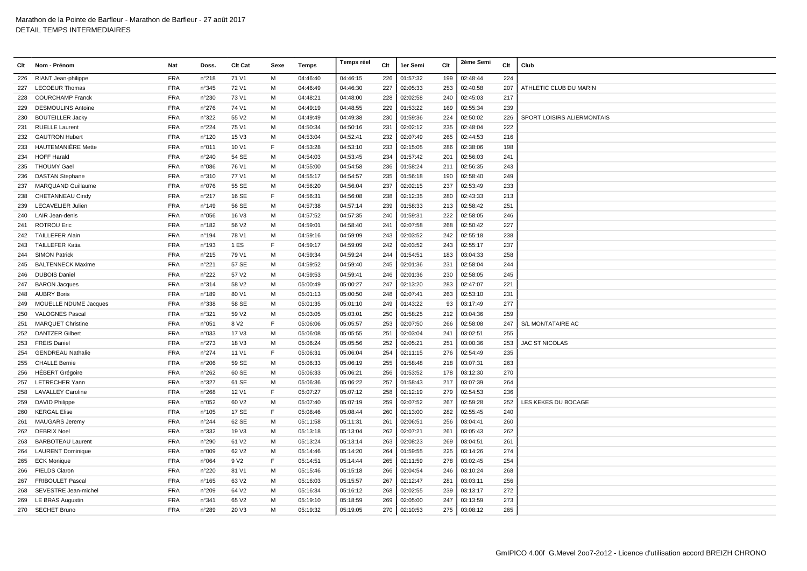| Clt | Nom - Prénom              | Nat        | Doss.          | Clt Cat           | Sexe | Temps    | Temps réel | Clt | 1er Semi | Clt | 2ème Semi | Clt | Club                       |
|-----|---------------------------|------------|----------------|-------------------|------|----------|------------|-----|----------|-----|-----------|-----|----------------------------|
| 226 | RIANT Jean-philippe       | <b>FRA</b> | n°218          | 71 V1             | M    | 04:46:40 | 04:46:15   | 226 | 01:57:32 | 199 | 02:48:44  | 224 |                            |
| 227 | <b>LECOEUR Thomas</b>     | <b>FRA</b> | n°345          | 72 V1             | M    | 04:46:49 | 04:46:30   | 227 | 02:05:33 | 253 | 02:40:58  | 207 | ATHLETIC CLUB DU MARIN     |
| 228 | <b>COURCHAMP Franck</b>   | <b>FRA</b> | n°230          | 73 V1             | м    | 04:48:21 | 04:48:00   | 228 | 02:02:58 | 240 | 02:45:03  | 217 |                            |
| 229 | <b>DESMOULINS Antoine</b> | <b>FRA</b> | $n^{\circ}276$ | 74 V1             | м    | 04:49:19 | 04:48:55   | 229 | 01:53:22 | 169 | 02:55:34  | 239 |                            |
| 230 | <b>BOUTEILLER Jacky</b>   | <b>FRA</b> | n°322          | 55 V2             | м    | 04:49:49 | 04:49:38   | 230 | 01:59:36 | 224 | 02:50:02  | 226 | SPORT LOISIRS ALIERMONTAIS |
| 231 | <b>RUELLE Laurent</b>     | <b>FRA</b> | n°224          | 75 V1             | M    | 04:50:34 | 04:50:16   | 231 | 02:02:12 | 235 | 02:48:04  | 222 |                            |
| 232 | <b>GAUTRON Hubert</b>     | <b>FRA</b> | n°120          | 15 V3             | M    | 04:53:04 | 04:52:41   | 232 | 02:07:49 | 265 | 02:44:53  | 216 |                            |
| 233 | HAUTEMANIÈRE Mette        | <b>FRA</b> | n°011          | 10 V1             | F    | 04:53:28 | 04:53:10   | 233 | 02:15:05 | 286 | 02:38:06  | 198 |                            |
| 234 | <b>HOFF Harald</b>        | <b>FRA</b> | n°240          | 54 SE             | м    | 04:54:03 | 04:53:45   | 234 | 01:57:42 | 201 | 02:56:03  | 241 |                            |
| 235 | <b>THOUMY Gael</b>        | <b>FRA</b> | n°086          | 76 V1             | м    | 04:55:00 | 04:54:58   | 236 | 01:58:24 | 211 | 02:56:35  | 243 |                            |
| 236 | <b>DASTAN Stephane</b>    | <b>FRA</b> | n°310          | 77 V1             | м    | 04:55:17 | 04:54:57   | 235 | 01:56:18 | 190 | 02:58:40  | 249 |                            |
| 237 | MARQUAND Guillaume        | <b>FRA</b> | n°076          | 55 SE             | м    | 04:56:20 | 04:56:04   | 237 | 02:02:15 | 237 | 02:53:49  | 233 |                            |
| 238 | CHETANNEAU Cindy          | <b>FRA</b> | n°217          | 16 SE             | F    | 04:56:31 | 04:56:08   | 238 | 02:12:35 | 280 | 02:43:33  | 213 |                            |
| 239 | <b>LECAVELIER Julien</b>  | <b>FRA</b> | n°149          | 56 SE             | м    | 04:57:38 | 04:57:14   | 239 | 01:58:33 | 213 | 02:58:42  | 251 |                            |
| 240 | LAIR Jean-denis           | <b>FRA</b> | n°056          | 16 V3             | м    | 04:57:52 | 04:57:35   | 240 | 01:59:31 | 222 | 02:58:05  | 246 |                            |
| 241 | <b>ROTROU Eric</b>        | <b>FRA</b> | n°182          | 56 V2             | M    | 04:59:01 | 04:58:40   | 241 | 02:07:58 | 268 | 02:50:42  | 227 |                            |
| 242 | <b>TAILLEFER Alain</b>    | <b>FRA</b> | n°194          | 78 V1             | м    | 04:59:16 | 04:59:09   | 243 | 02:03:52 | 242 | 02:55:18  | 238 |                            |
| 243 | <b>TAILLEFER Katia</b>    | <b>FRA</b> | n°193          | 1 ES              | F    | 04:59:17 | 04:59:09   | 242 | 02:03:52 | 243 | 02:55:17  | 237 |                            |
| 244 | <b>SIMON Patrick</b>      | <b>FRA</b> | n°215          | 79 V1             | M    | 04:59:34 | 04:59:24   | 244 | 01:54:51 | 183 | 03:04:33  | 258 |                            |
| 245 | <b>BALTENNECK Maxime</b>  | <b>FRA</b> | n°221          | 57 SE             | м    | 04:59:52 | 04:59:40   | 245 | 02:01:36 | 231 | 02:58:04  | 244 |                            |
| 246 | <b>DUBOIS Daniel</b>      | <b>FRA</b> | n°222          | 57 V2             | M    | 04:59:53 | 04:59:41   | 246 | 02:01:36 | 230 | 02:58:05  | 245 |                            |
| 247 | <b>BARON Jacques</b>      | <b>FRA</b> | n°314          | 58 V2             | м    | 05:00:49 | 05:00:27   | 247 | 02:13:20 | 283 | 02:47:07  | 221 |                            |
| 248 | <b>AUBRY Boris</b>        | <b>FRA</b> | n°189          | 80 V1             | м    | 05:01:13 | 05:00:50   | 248 | 02:07:41 | 263 | 02:53:10  | 231 |                            |
| 249 | MOUELLE NDUME Jacques     | <b>FRA</b> | n°338          | 58 SE             | м    | 05:01:35 | 05:01:10   | 249 | 01:43:22 | 93  | 03:17:49  | 277 |                            |
| 250 | <b>VALOGNES Pascal</b>    | FRA        | n°321          | 59 V2             | M    | 05:03:05 | 05:03:01   | 250 | 01:58:25 | 212 | 03:04:36  | 259 |                            |
| 251 | <b>MARQUET Christine</b>  | <b>FRA</b> | n°051          | 8 V <sub>2</sub>  | F    | 05:06:06 | 05:05:57   | 253 | 02:07:50 | 266 | 02:58:08  | 247 | S/L MONTATAIRE AC          |
| 252 | <b>DANTZER Gilbert</b>    | <b>FRA</b> | n°033          | 17 V3             | M    | 05:06:08 | 05:05:55   | 251 | 02:03:04 | 241 | 03:02:51  | 255 |                            |
| 253 | <b>FREIS Daniel</b>       | <b>FRA</b> | n°273          | 18 V3             | м    | 05:06:24 | 05:05:56   | 252 | 02:05:21 | 251 | 03:00:36  | 253 | <b>JAC ST NICOLAS</b>      |
| 254 | <b>GENDREAU Nathalie</b>  | <b>FRA</b> | $n^{\circ}274$ | 11 V1             | F    | 05:06:31 | 05:06:04   | 254 | 02:11:15 | 276 | 02:54:49  | 235 |                            |
| 255 | <b>CHALLE Bernie</b>      | <b>FRA</b> | n°206          | 59 SE             | м    | 05:06:33 | 05:06:19   | 255 | 01:58:48 | 218 | 03:07:31  | 263 |                            |
| 256 | <b>HÉBERT Grégoire</b>    | <b>FRA</b> | $n^{\circ}262$ | 60 SE             | м    | 05:06:33 | 05:06:21   | 256 | 01:53:52 | 178 | 03:12:30  | 270 |                            |
| 257 | <b>LETRECHER Yann</b>     | <b>FRA</b> | n°327          | 61 SE             | M    | 05:06:36 | 05:06:22   | 257 | 01:58:43 | 217 | 03:07:39  | 264 |                            |
| 258 | <b>LAVALLEY Caroline</b>  | <b>FRA</b> | n°268          | 12 V1             | F    | 05:07:27 | 05:07:12   | 258 | 02:12:19 | 279 | 02:54:53  | 236 |                            |
| 259 | <b>DAVID Philippe</b>     | <b>FRA</b> | n°052          | 60 V2             | M    | 05:07:40 | 05:07:19   | 259 | 02:07:52 | 267 | 02:59:28  | 252 | LES KEKES DU BOCAGE        |
| 260 | <b>KERGAL Elise</b>       | <b>FRA</b> | n°105          | 17 SE             | F    | 05:08:46 | 05:08:44   | 260 | 02:13:00 | 282 | 02:55:45  | 240 |                            |
| 261 | <b>MAUGARS Jeremy</b>     | <b>FRA</b> | n°244          | 62 SE             | м    | 05:11:58 | 05:11:31   | 261 | 02:06:51 | 256 | 03:04:41  | 260 |                            |
| 262 | <b>DEBRIX Noel</b>        | <b>FRA</b> | n°332          | 19 V3             | м    | 05:13:18 | 05:13:04   | 262 | 02:07:21 | 261 | 03:05:43  | 262 |                            |
| 263 | <b>BARBOTEAU Laurent</b>  | <b>FRA</b> | n°290          | 61 V2             | м    | 05:13:24 | 05:13:14   | 263 | 02:08:23 | 269 | 03:04:51  | 261 |                            |
| 264 | <b>LAURENT Dominique</b>  | <b>FRA</b> | n°009          | 62 V <sub>2</sub> | M    | 05:14:46 | 05:14:20   | 264 | 01:59:55 | 225 | 03:14:26  | 274 |                            |
| 265 | <b>ECK Monique</b>        | <b>FRA</b> | n°064          | 9 V <sub>2</sub>  | F    | 05:14:51 | 05:14:44   | 265 | 02:11:59 | 278 | 03:02:45  | 254 |                            |
| 266 | <b>FIELDS Ciaron</b>      | <b>FRA</b> | n°220          | 81 V1             | м    | 05:15:46 | 05:15:18   | 266 | 02:04:54 | 246 | 03:10:24  | 268 |                            |
| 267 | <b>FRIBOULET Pascal</b>   | <b>FRA</b> | n°165          | 63 V2             | м    | 05:16:03 | 05:15:57   | 267 | 02:12:47 | 281 | 03:03:11  | 256 |                            |
| 268 | SEVESTRE Jean-michel      | <b>FRA</b> | n°209          | 64 V <sub>2</sub> | м    | 05:16:34 | 05:16:12   | 268 | 02:02:55 | 239 | 03:13:17  | 272 |                            |
| 269 | LE BRAS Augustin          | <b>FRA</b> | n°341          | 65 V <sub>2</sub> | м    | 05:19:10 | 05:18:59   | 269 | 02:05:00 | 247 | 03:13:59  | 273 |                            |
|     | 270 SECHET Bruno          | <b>FRA</b> | n°289          | 20 V3             | M    | 05:19:32 | 05:19:05   | 270 | 02:10:53 | 275 | 03:08:12  | 265 |                            |
|     |                           |            |                |                   |      |          |            |     |          |     |           |     |                            |